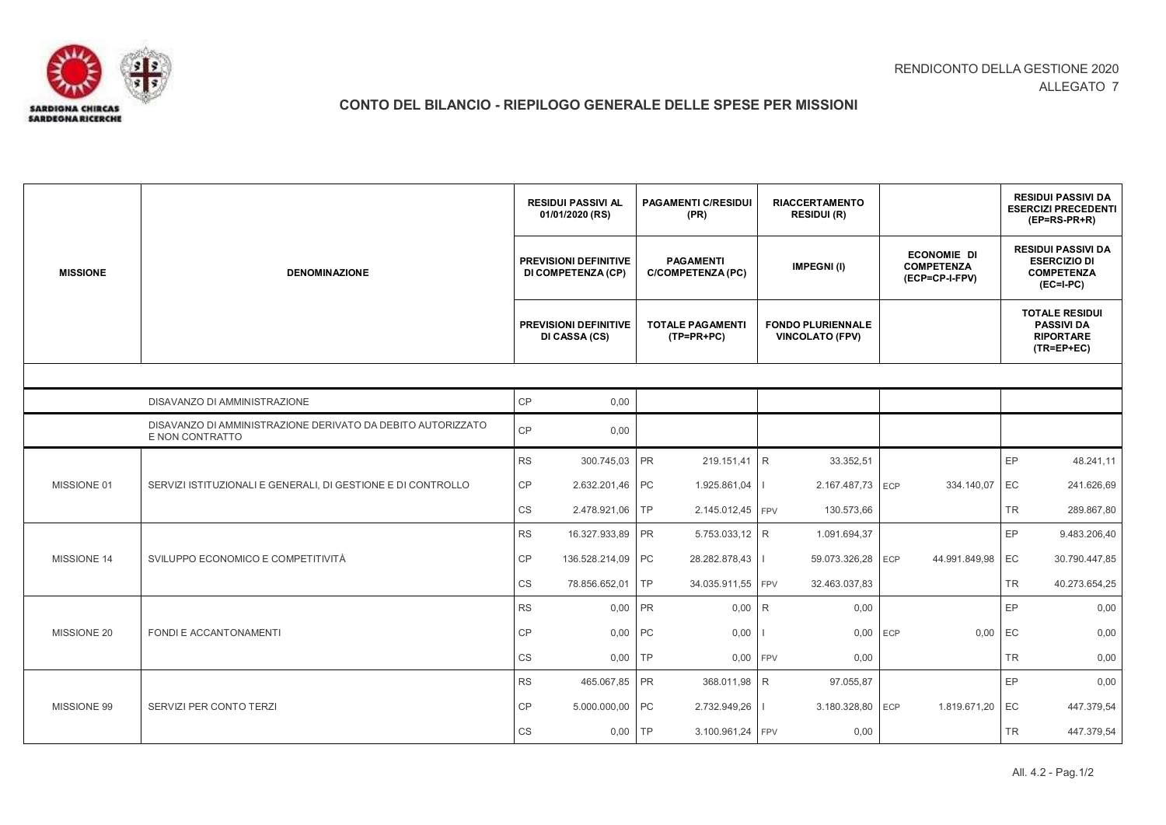

## **CONTO DEL BILANCIO - RIEPILOGO GENERALE DELLE SPESE PER MISSIONI**

|                              |                                                                                | <b>RESIDUI PASSIVI AL</b><br>01/01/2020 (RS)       |                   | <b>PAGAMENTI C/RESIDUI</b><br>(PR)    | <b>RIACCERTAMENTO</b><br><b>RESIDUI (R)</b>        |            |                                                           |                                                                                      | <b>RESIDUI PASSIVI DA</b><br><b>ESERCIZI PRECEDENTI</b><br>$(EP=RS-PR+R)$      |
|------------------------------|--------------------------------------------------------------------------------|----------------------------------------------------|-------------------|---------------------------------------|----------------------------------------------------|------------|-----------------------------------------------------------|--------------------------------------------------------------------------------------|--------------------------------------------------------------------------------|
| <b>MISSIONE</b>              | <b>DENOMINAZIONE</b>                                                           | <b>PREVISIONI DEFINITIVE</b><br>DI COMPETENZA (CP) |                   | <b>PAGAMENTI</b><br>C/COMPETENZA (PC) | <b>IMPEGNI(I)</b>                                  |            | <b>ECONOMIE DI</b><br><b>COMPETENZA</b><br>(ECP=CP-I-FPV) | <b>RESIDUI PASSIVI DA</b><br><b>ESERCIZIO DI</b><br><b>COMPETENZA</b><br>$(EC=I-PC)$ |                                                                                |
|                              |                                                                                | <b>PREVISIONI DEFINITIVE</b><br>DI CASSA (CS)      |                   | <b>TOTALE PAGAMENTI</b><br>(TP=PR+PC) | <b>FONDO PLURIENNALE</b><br><b>VINCOLATO (FPV)</b> |            |                                                           |                                                                                      | <b>TOTALE RESIDUI</b><br><b>PASSIVI DA</b><br><b>RIPORTARE</b><br>$(TR=EP+EC)$ |
|                              |                                                                                |                                                    |                   |                                       |                                                    |            |                                                           |                                                                                      |                                                                                |
| DISAVANZO DI AMMINISTRAZIONE |                                                                                | $\mathsf{CP}$                                      | 0,00              |                                       |                                                    |            |                                                           |                                                                                      |                                                                                |
|                              | DISAVANZO DI AMMINISTRAZIONE DERIVATO DA DEBITO AUTORIZZATO<br>E NON CONTRATTO | <b>CP</b>                                          | 0,00              |                                       |                                                    |            |                                                           |                                                                                      |                                                                                |
| MISSIONE 01                  | SERVIZI ISTITUZIONALI E GENERALI, DI GESTIONE E DI CONTROLLO                   | ${\sf RS}$                                         | 300.745,03 PR     | 219.151,41                            | R                                                  | 33.352,51  |                                                           | EP                                                                                   | 48.241,11                                                                      |
|                              |                                                                                | CP                                                 | 2.632.201,46 PC   | 1.925.861,04                          | 2.167.487,73                                       |            | 334.140,07<br>ECP                                         | EC                                                                                   | 241.626,69                                                                     |
|                              |                                                                                | CS                                                 | 2.478.921,06 TP   | 2.145.012,45 FPV                      |                                                    | 130.573,66 |                                                           | <b>TR</b>                                                                            | 289.867,80                                                                     |
| MISSIONE 14                  | SVILUPPO ECONOMICO E COMPETITIVITÀ                                             | <b>RS</b>                                          | 16.327.933,89     | <b>PR</b><br>5.753.033,12 R           | 1.091.694,37                                       |            |                                                           | EP                                                                                   | 9.483.206,40                                                                   |
|                              |                                                                                | <b>CP</b>                                          | 136.528.214,09 PC | 28.282.878,43                         | 59.073.326,28                                      |            | 44.991.849,98<br>ECP                                      | EC                                                                                   | 30.790.447,85                                                                  |
|                              |                                                                                | CS                                                 | 78.856.652,01 TP  | 34.035.911,55 FPV                     | 32.463.037,83                                      |            |                                                           | <b>TR</b>                                                                            | 40.273.654,25                                                                  |
| MISSIONE 20                  | FONDI E ACCANTONAMENTI                                                         | <b>RS</b>                                          | 0,00 PR           | 0,00                                  | $\mathsf{R}$                                       | 0,00       |                                                           | EP                                                                                   | 0,00                                                                           |
|                              |                                                                                | CP                                                 | 0,00              | PC<br>0,00                            |                                                    | 0,00       | 0,00<br>ECP                                               | EC                                                                                   | 0,00                                                                           |
|                              |                                                                                | CS                                                 | $0,00$ TP         | $0.00$ FPV                            |                                                    | 0,00       |                                                           | <b>TR</b>                                                                            | 0,00                                                                           |
| MISSIONE 99                  | SERVIZI PER CONTO TERZI                                                        | <b>RS</b>                                          | 465.067,85        | PR<br>368.011,98                      | R                                                  | 97.055,87  |                                                           | EP                                                                                   | 0,00                                                                           |
|                              |                                                                                | CP                                                 | 5.000.000,00 PC   | 2.732.949,26                          | 3.180.328,80                                       |            | 1.819.671,20<br>ECP                                       | EC                                                                                   | 447.379,54                                                                     |
|                              |                                                                                | <b>CS</b>                                          | $0,00$ TP         | 3.100.961,24 FPV                      |                                                    | 0,00       |                                                           | <b>TR</b>                                                                            | 447.379,54                                                                     |